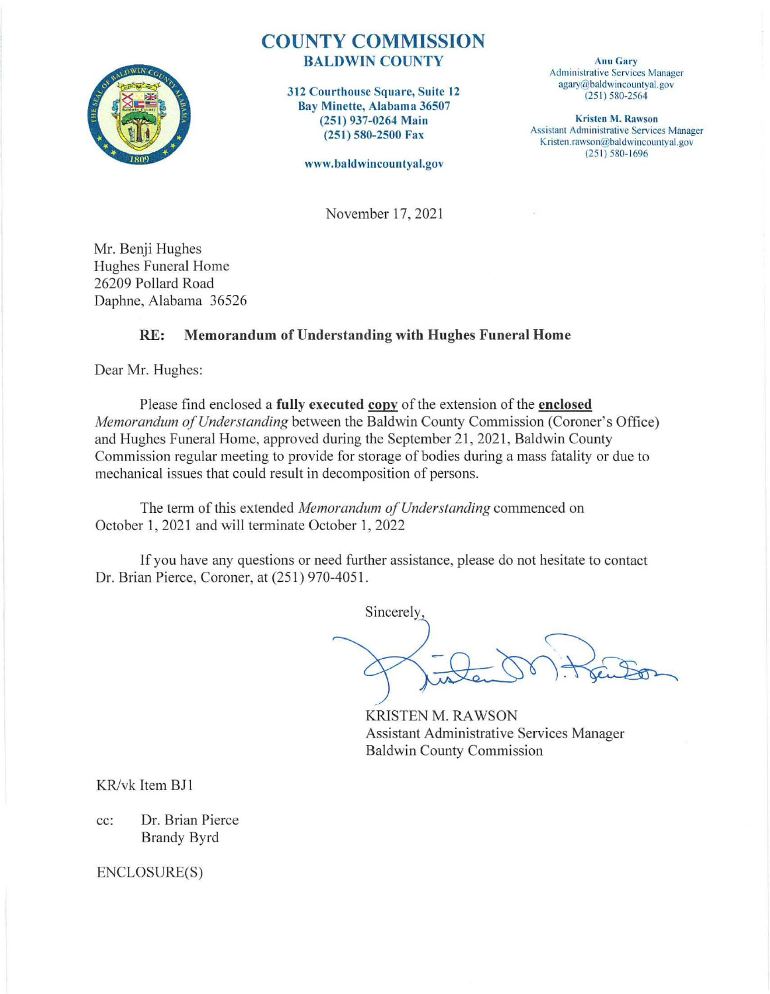

## COUNTY COMMISSION BALDWIN COUNTY

312 Courthouse Square, Suite 12 Bay Minette, Alabama 36507 (251) 937-0264 Main (251 ) 580-2500 Fax

www.ba ldwincountyal.gov

Ann Gary Administrative Services Manager agary@baldwincountyal.gov (25 1) 580-2564

Kristen M. Rawson Assistant Administrative Services Manager Kristen.rawson@baldwincountyal.gov (251) 580- 1696

November 17, 2021

Mr. Benji Hughes Hughes Funeral Home 26209 Pollard Road Daphne, Alabama 36526

## RE: Memorandum of Understanding with Hughes Funeral Home

Dear Mr. Hughes:

Please find enclosed a fully executed copy of the extension of the enclosed *Memorandum of Understanding* between the Baldwin County Commission (Coroner's Office) and Hughes Funeral Home, approved during the September 21, 2021, Baldwin County Commission regular meeting to provide for storage of bodies during a mass fatality or due to mechanical issues that could result in decomposition of persons.

The term of this extended *Memorandum of Understanding* commenced on October 1, 2021 and will terminate October 1, 2022

If you have any questions or need further assistance, please do not hesitate to contact Dr. Brian Pierce, Coroner, at (25 1) 970-405 1.

Sincerely

KRISTEN M. RAWSON Assistant Administrative Services Manager **Baldwin County Commission** 

KR/vk Item BJI

cc: Dr. Brian Pierce Brandy Byrd

ENCLOSURE(S)